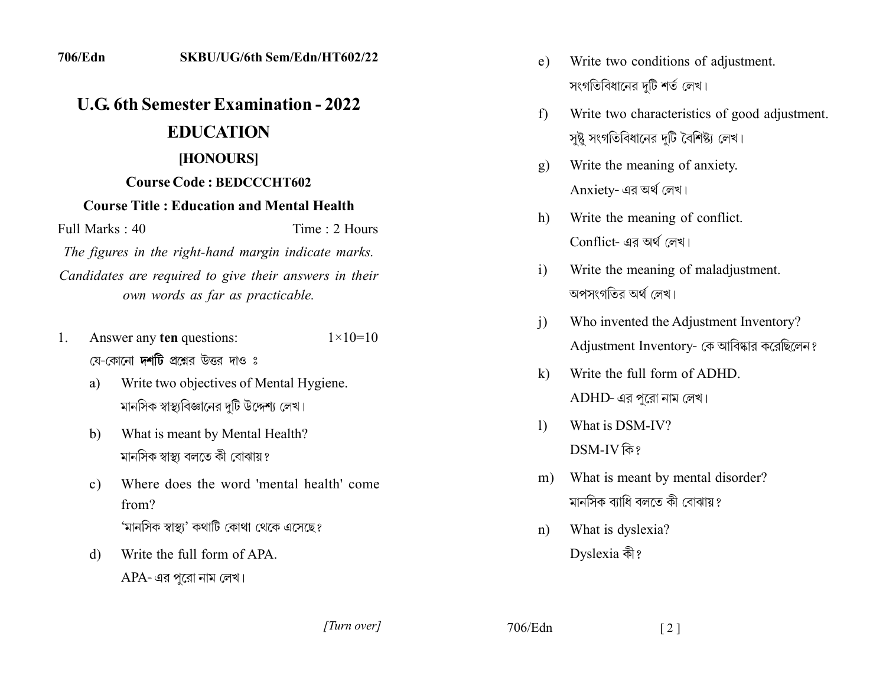## **2222 2222 2222 2222 2222 2222 EDUCATION** [HONOURS]

## **Course Code : BEDCCCHT602**

## **Course Title: Education and Mental Health**

Full Marks: 40 Time: 2 Hours

The figures in the right-hand margin indicate marks. Candidates are required to give their answers in their *own words as far as practicable.* 

- 1. Answer any ten questions:  $1 \times 10 = 10$ য়ে-কোনো **দর্শটি** প্রশ্নের উত্তর দাও ঃ
	- a) Write two objectives of Mental Hygiene. মানসিক স্বাস্থ্যবিজ্ঞানের দটি উদ্দেশ্য লেখ।
	- b. What is meant by Mental Health? মানসিক স্বাস্থ্য বলতে কী বোঝায়?
	- c) Where does the word 'mental health' come from? 'মানসিক স্বাস্থ্য' কথাটি কোথা থেকে এসেছে?
	- d) Write the full form of APA. APA- এর পুরো নাম লেখ।
- e) Write two conditions of adjustment. সংগতিবিধানের দটি শর্ত লেখ।
- f) Write two characteristics of good adjustment. সষ্ট সংগতিবিধানের দটি বৈশিষ্ট্য লেখ।
- g) Write the meaning of anxiety. Anxiety- এর অর্থ লেখ।
- h) Write the meaning of conflict.  $Conflict$ - এর অর্থ লেখ।
- i) Write the meaning of maladjustment. অপসংগতির অর্থ লেখ।
- i) Who invented the Adjustment Inventory? Adjustment Inventory- কে আবিষ্কার করেছিলেন?
- $k$ ) Write the full form of ADHD.  $ADHD$ - এর পুরো নাম লেখ।
- 1) What is DSM-IV? DSM-IV কি?
- m) What is meant by mental disorder? মানসিক ব্যাধি বলতে কী বোঝায়?
- n) What is dyslexia? Dyslexia কী?

*]]]]]]]]]]]*

 $706/Edn$  [2]